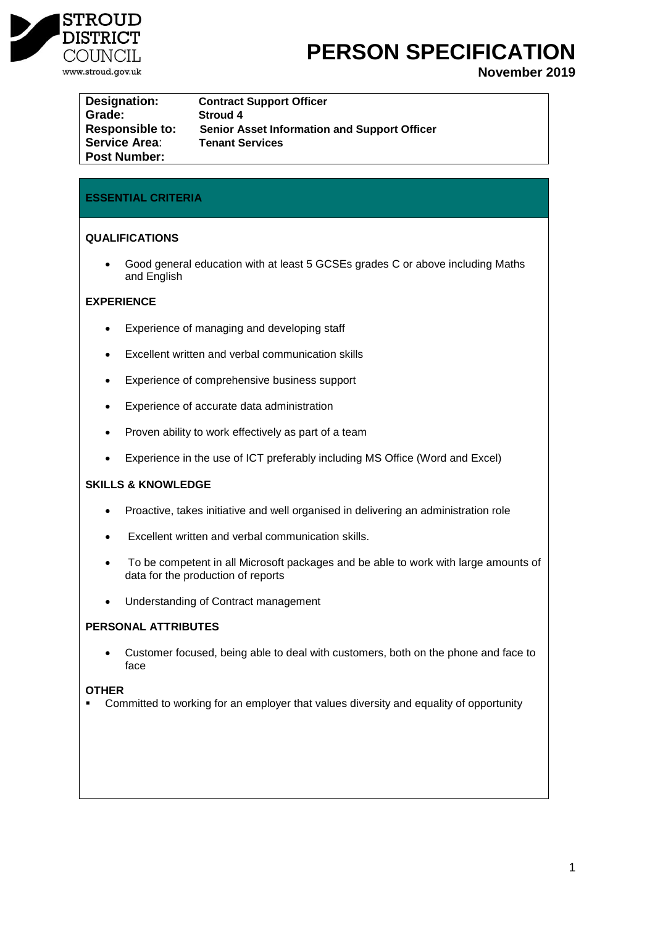

# **PERSON SPECIFICATION**

**November 2019**

| Designation:           | <b>Contract Support Officer</b>                     |
|------------------------|-----------------------------------------------------|
| Grade:                 | <b>Stroud 4</b>                                     |
| <b>Responsible to:</b> | <b>Senior Asset Information and Support Officer</b> |
| <b>Service Area:</b>   | <b>Tenant Services</b>                              |
| <b>Post Number:</b>    |                                                     |

## **ESSENTIAL CRITERIA**

## **QUALIFICATIONS**

 Good general education with at least 5 GCSEs grades C or above including Maths and English

## **EXPERIENCE**

- Experience of managing and developing staff
- Excellent written and verbal communication skills
- Experience of comprehensive business support
- Experience of accurate data administration
- Proven ability to work effectively as part of a team
- Experience in the use of ICT preferably including MS Office (Word and Excel)

#### **SKILLS & KNOWLEDGE**

- Proactive, takes initiative and well organised in delivering an administration role
- Excellent written and verbal communication skills.
- To be competent in all Microsoft packages and be able to work with large amounts of data for the production of reports
- Understanding of Contract management

## **PERSONAL ATTRIBUTES**

 Customer focused, being able to deal with customers, both on the phone and face to face

#### **OTHER**

**•** Committed to working for an employer that values diversity and equality of opportunity